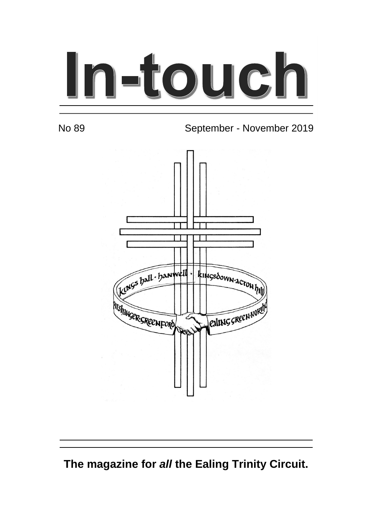# In-touch

No 89 September - November 2019



**The magazine for all the Ealing Trinity Circuit.**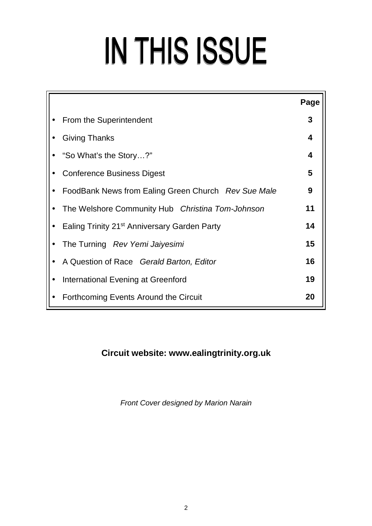# IN THIS ISSUE

|                                                          | Page |  |
|----------------------------------------------------------|------|--|
| From the Superintendent                                  | 3    |  |
| <b>Giving Thanks</b>                                     |      |  |
| "So What's the Story?"                                   |      |  |
| 5<br><b>Conference Business Digest</b>                   |      |  |
| FoodBank News from Ealing Green Church Rev Sue Male      | 9    |  |
| The Welshore Community Hub Christina Tom-Johnson         | 11   |  |
| Ealing Trinity 21 <sup>st</sup> Anniversary Garden Party | 14   |  |
| The Turning Rev Yemi Jaiyesimi                           |      |  |
| A Question of Race Gerald Barton, Editor                 | 16   |  |
| International Evening at Greenford                       | 19   |  |
| Forthcoming Events Around the Circuit                    | 20   |  |

#### **Circuit website: www.ealingtrinity.org.uk**

Front Cover designed by Marion Narain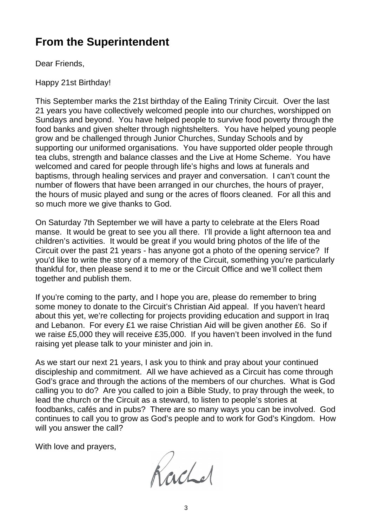# **From the Superintendent**

Dear Friends,

Happy 21st Birthday!

This September marks the 21st birthday of the Ealing Trinity Circuit. Over the last 21 years you have collectively welcomed people into our churches, worshipped on Sundays and beyond. You have helped people to survive food poverty through the food banks and given shelter through nightshelters. You have helped young people grow and be challenged through Junior Churches, Sunday Schools and by supporting our uniformed organisations. You have supported older people through tea clubs, strength and balance classes and the Live at Home Scheme. You have welcomed and cared for people through life's highs and lows at funerals and baptisms, through healing services and prayer and conversation. I can't count the number of flowers that have been arranged in our churches, the hours of prayer, the hours of music played and sung or the acres of floors cleaned. For all this and so much more we give thanks to God.

On Saturday 7th September we will have a party to celebrate at the Elers Road manse. It would be great to see you all there. I'll provide a light afternoon tea and children's activities. It would be great if you would bring photos of the life of the Circuit over the past 21 years - has anyone got a photo of the opening service? If you'd like to write the story of a memory of the Circuit, something you're particularly thankful for, then please send it to me or the Circuit Office and we'll collect them together and publish them.

If you're coming to the party, and I hope you are, please do remember to bring some money to donate to the Circuit's Christian Aid appeal. If you haven't heard about this yet, we're collecting for projects providing education and support in Iraq and Lebanon. For every £1 we raise Christian Aid will be given another £6. So if we raise £5,000 they will receive £35,000. If you haven't been involved in the fund raising yet please talk to your minister and join in.

As we start our next 21 years, I ask you to think and pray about your continued discipleship and commitment. All we have achieved as a Circuit has come through God's grace and through the actions of the members of our churches. What is God calling you to do? Are you called to join a Bible Study, to pray through the week, to lead the church or the Circuit as a steward, to listen to people's stories at foodbanks, cafés and in pubs? There are so many ways you can be involved. God continues to call you to grow as God's people and to work for God's Kingdom. How will you answer the call?

With love and prayers,

Rachel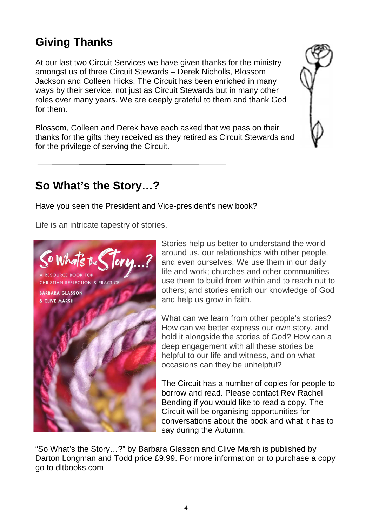# **Giving Thanks**

At our last two Circuit Services we have given thanks for the ministry amongst us of three Circuit Stewards – Derek Nicholls, Blossom Jackson and Colleen Hicks. The Circuit has been enriched in many ways by their service, not just as Circuit Stewards but in many other roles over many years. We are deeply grateful to them and thank God for them.

Blossom, Colleen and Derek have each asked that we pass on their thanks for the gifts they received as they retired as Circuit Stewards and for the privilege of serving the Circuit.



## **So What's the Story…?**

Have you seen the President and Vice-president's new book?

Life is an intricate tapestry of stories.



Stories help us better to understand the world around us, our relationships with other people, and even ourselves. We use them in our daily life and work; churches and other communities use them to build from within and to reach out to others; and stories enrich our knowledge of God and help us grow in faith.

What can we learn from other people's stories? How can we better express our own story, and hold it alongside the stories of God? How can a deep engagement with all these stories be helpful to our life and witness, and on what occasions can they be unhelpful?

The Circuit has a number of copies for people to borrow and read. Please contact Rev Rachel Bending if you would like to read a copy. The Circuit will be organising opportunities for conversations about the book and what it has to say during the Autumn.

"So What's the Story…?" by Barbara Glasson and Clive Marsh is published by Darton Longman and Todd price £9.99. For more information or to purchase a copy go to dltbooks.com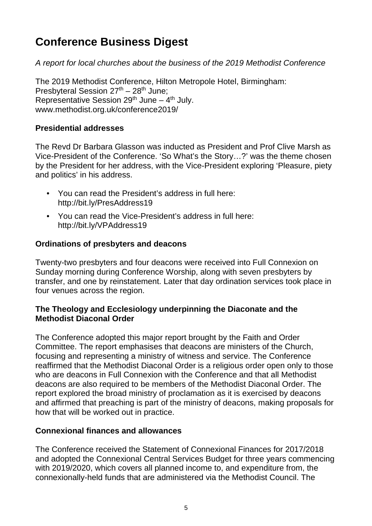# **Conference Business Digest**

A report for local churches about the business of the 2019 Methodist Conference

The 2019 Methodist Conference, Hilton Metropole Hotel, Birmingham: Presbyteral Session  $27<sup>th</sup> - 28<sup>th</sup>$  June; Representative Session  $29<sup>th</sup>$  June –  $4<sup>th</sup>$  July. www.methodist.org.uk/conference2019/

#### **Presidential addresses**

The Revd Dr Barbara Glasson was inducted as President and Prof Clive Marsh as Vice-President of the Conference. 'So What's the Story…?' was the theme chosen by the President for her address, with the Vice-President exploring 'Pleasure, piety and politics' in his address.

- You can read the President's address in full here: http://bit.ly/PresAddress19
- You can read the Vice-President's address in full here: http://bit.ly/VPAddress19

#### **Ordinations of presbyters and deacons**

Twenty-two presbyters and four deacons were received into Full Connexion on Sunday morning during Conference Worship, along with seven presbyters by transfer, and one by reinstatement. Later that day ordination services took place in four venues across the region.

#### **The Theology and Ecclesiology underpinning the Diaconate and the Methodist Diaconal Order**

The Conference adopted this major report brought by the Faith and Order Committee. The report emphasises that deacons are ministers of the Church, focusing and representing a ministry of witness and service. The Conference reaffirmed that the Methodist Diaconal Order is a religious order open only to those who are deacons in Full Connexion with the Conference and that all Methodist deacons are also required to be members of the Methodist Diaconal Order. The report explored the broad ministry of proclamation as it is exercised by deacons and affirmed that preaching is part of the ministry of deacons, making proposals for how that will be worked out in practice.

#### **Connexional finances and allowances**

The Conference received the Statement of Connexional Finances for 2017/2018 and adopted the Connexional Central Services Budget for three years commencing with 2019/2020, which covers all planned income to, and expenditure from, the connexionally-held funds that are administered via the Methodist Council. The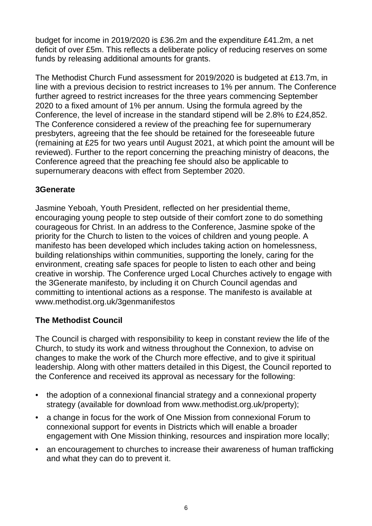budget for income in 2019/2020 is £36.2m and the expenditure £41.2m, a net deficit of over £5m. This reflects a deliberate policy of reducing reserves on some funds by releasing additional amounts for grants.

The Methodist Church Fund assessment for 2019/2020 is budgeted at £13.7m, in line with a previous decision to restrict increases to 1% per annum. The Conference further agreed to restrict increases for the three years commencing September 2020 to a fixed amount of 1% per annum. Using the formula agreed by the Conference, the level of increase in the standard stipend will be 2.8% to £24,852. The Conference considered a review of the preaching fee for supernumerary presbyters, agreeing that the fee should be retained for the foreseeable future (remaining at £25 for two years until August 2021, at which point the amount will be reviewed). Further to the report concerning the preaching ministry of deacons, the Conference agreed that the preaching fee should also be applicable to supernumerary deacons with effect from September 2020.

#### **3Generate**

Jasmine Yeboah, Youth President, reflected on her presidential theme, encouraging young people to step outside of their comfort zone to do something courageous for Christ. In an address to the Conference, Jasmine spoke of the priority for the Church to listen to the voices of children and young people. A manifesto has been developed which includes taking action on homelessness, building relationships within communities, supporting the lonely, caring for the environment, creating safe spaces for people to listen to each other and being creative in worship. The Conference urged Local Churches actively to engage with the 3Generate manifesto, by including it on Church Council agendas and committing to intentional actions as a response. The manifesto is available at www.methodist.org.uk/3genmanifestos

#### **The Methodist Council**

The Council is charged with responsibility to keep in constant review the life of the Church, to study its work and witness throughout the Connexion, to advise on changes to make the work of the Church more effective, and to give it spiritual leadership. Along with other matters detailed in this Digest, the Council reported to the Conference and received its approval as necessary for the following:

- the adoption of a connexional financial strategy and a connexional property strategy (available for download from www.methodist.org.uk/property);
- a change in focus for the work of One Mission from connexional Forum to connexional support for events in Districts which will enable a broader engagement with One Mission thinking, resources and inspiration more locally;
- an encouragement to churches to increase their awareness of human trafficking and what they can do to prevent it.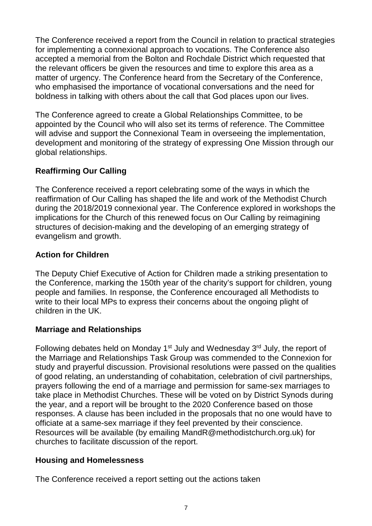The Conference received a report from the Council in relation to practical strategies for implementing a connexional approach to vocations. The Conference also accepted a memorial from the Bolton and Rochdale District which requested that the relevant officers be given the resources and time to explore this area as a matter of urgency. The Conference heard from the Secretary of the Conference, who emphasised the importance of vocational conversations and the need for boldness in talking with others about the call that God places upon our lives.

The Conference agreed to create a Global Relationships Committee, to be appointed by the Council who will also set its terms of reference. The Committee will advise and support the Connexional Team in overseeing the implementation, development and monitoring of the strategy of expressing One Mission through our global relationships.

#### **Reaffirming Our Calling**

The Conference received a report celebrating some of the ways in which the reaffirmation of Our Calling has shaped the life and work of the Methodist Church during the 2018/2019 connexional year. The Conference explored in workshops the implications for the Church of this renewed focus on Our Calling by reimagining structures of decision-making and the developing of an emerging strategy of evangelism and growth.

#### **Action for Children**

The Deputy Chief Executive of Action for Children made a striking presentation to the Conference, marking the 150th year of the charity's support for children, young people and families. In response, the Conference encouraged all Methodists to write to their local MPs to express their concerns about the ongoing plight of children in the UK.

#### **Marriage and Relationships**

Following debates held on Monday  $1<sup>st</sup>$  July and Wednesday  $3<sup>rd</sup>$  July, the report of the Marriage and Relationships Task Group was commended to the Connexion for study and prayerful discussion. Provisional resolutions were passed on the qualities of good relating, an understanding of cohabitation, celebration of civil partnerships, prayers following the end of a marriage and permission for same-sex marriages to take place in Methodist Churches. These will be voted on by District Synods during the year, and a report will be brought to the 2020 Conference based on those responses. A clause has been included in the proposals that no one would have to officiate at a same-sex marriage if they feel prevented by their conscience. Resources will be available (by emailing MandR@methodistchurch.org.uk) for churches to facilitate discussion of the report.

#### **Housing and Homelessness**

The Conference received a report setting out the actions taken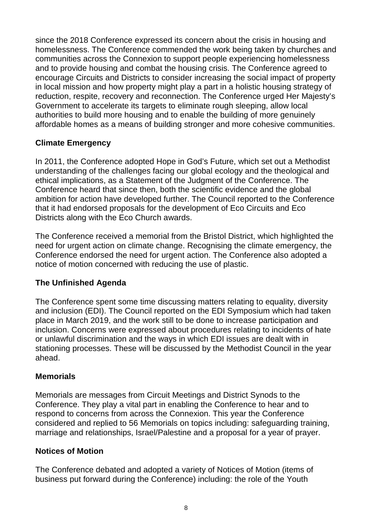since the 2018 Conference expressed its concern about the crisis in housing and homelessness. The Conference commended the work being taken by churches and communities across the Connexion to support people experiencing homelessness and to provide housing and combat the housing crisis. The Conference agreed to encourage Circuits and Districts to consider increasing the social impact of property in local mission and how property might play a part in a holistic housing strategy of reduction, respite, recovery and reconnection. The Conference urged Her Majesty's Government to accelerate its targets to eliminate rough sleeping, allow local authorities to build more housing and to enable the building of more genuinely affordable homes as a means of building stronger and more cohesive communities.

#### **Climate Emergency**

In 2011, the Conference adopted Hope in God's Future, which set out a Methodist understanding of the challenges facing our global ecology and the theological and ethical implications, as a Statement of the Judgment of the Conference. The Conference heard that since then, both the scientific evidence and the global ambition for action have developed further. The Council reported to the Conference that it had endorsed proposals for the development of Eco Circuits and Eco Districts along with the Eco Church awards.

The Conference received a memorial from the Bristol District, which highlighted the need for urgent action on climate change. Recognising the climate emergency, the Conference endorsed the need for urgent action. The Conference also adopted a notice of motion concerned with reducing the use of plastic.

#### **The Unfinished Agenda**

The Conference spent some time discussing matters relating to equality, diversity and inclusion (EDI). The Council reported on the EDI Symposium which had taken place in March 2019, and the work still to be done to increase participation and inclusion. Concerns were expressed about procedures relating to incidents of hate or unlawful discrimination and the ways in which EDI issues are dealt with in stationing processes. These will be discussed by the Methodist Council in the year ahead.

#### **Memorials**

Memorials are messages from Circuit Meetings and District Synods to the Conference. They play a vital part in enabling the Conference to hear and to respond to concerns from across the Connexion. This year the Conference considered and replied to 56 Memorials on topics including: safeguarding training, marriage and relationships, Israel/Palestine and a proposal for a year of prayer.

#### **Notices of Motion**

The Conference debated and adopted a variety of Notices of Motion (items of business put forward during the Conference) including: the role of the Youth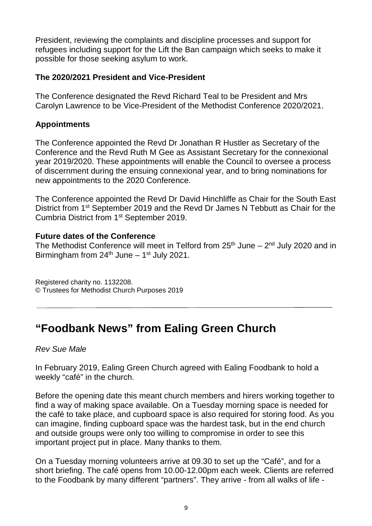President, reviewing the complaints and discipline processes and support for refugees including support for the Lift the Ban campaign which seeks to make it possible for those seeking asylum to work.

#### **The 2020/2021 President and Vice-President**

The Conference designated the Revd Richard Teal to be President and Mrs Carolyn Lawrence to be Vice-President of the Methodist Conference 2020/2021.

#### **Appointments**

The Conference appointed the Revd Dr Jonathan R Hustler as Secretary of the Conference and the Revd Ruth M Gee as Assistant Secretary for the connexional year 2019/2020. These appointments will enable the Council to oversee a process of discernment during the ensuing connexional year, and to bring nominations for new appointments to the 2020 Conference.

The Conference appointed the Revd Dr David Hinchliffe as Chair for the South East District from 1<sup>st</sup> September 2019 and the Revd Dr James N Tebbutt as Chair for the Cumbria District from 1st September 2019.

#### **Future dates of the Conference**

The Methodist Conference will meet in Telford from  $25<sup>th</sup>$  June –  $2<sup>nd</sup>$  July 2020 and in Birmingham from  $24<sup>th</sup>$  June – 1<sup>st</sup> July 2021.

Registered charity no. 1132208. © Trustees for Methodist Church Purposes 2019

# **"Foodbank News" from Ealing Green Church**

Rev Sue Male

In February 2019, Ealing Green Church agreed with Ealing Foodbank to hold a weekly "café" in the church.

Before the opening date this meant church members and hirers working together to find a way of making space available. On a Tuesday morning space is needed for the café to take place, and cupboard space is also required for storing food. As you can imagine, finding cupboard space was the hardest task, but in the end church and outside groups were only too willing to compromise in order to see this important project put in place. Many thanks to them.

On a Tuesday morning volunteers arrive at 09.30 to set up the "Café", and for a short briefing. The café opens from 10.00-12.00pm each week. Clients are referred to the Foodbank by many different "partners". They arrive - from all walks of life -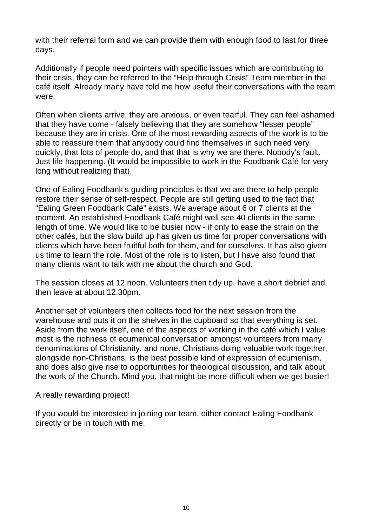with their referral form and we can provide them with enough food to last for three days.

Additionally if people need pointers with specific issues which are contributing to their crisis, they can be referred to the "Help through Crisis" Team member in the café itself. Already many have told me how useful their conversations with the team were.

Often when clients arrive, they are anxious, or even tearful. They can feel ashamed that they have come - falsely believing that they are somehow "lesser people" because they are in crisis. One of the most rewarding aspects of the work is to be able to reassure them that anybody could find themselves in such need very quickly, that lots of people do, and that that is why we are there. Nobody's fault. Just life happening. (It would be impossible to work in the Foodbank Café for very long without realizing that).

One of Ealing Foodbank's guiding principles is that we are there to help people restore their sense of self-respect. People are still getting used to the fact that "Ealing Green Foodbank Café" exists. We average about 6 or 7 clients at the moment. An established Foodbank Café might well see 40 clients in the same length of time. We would like to be busier now - if only to ease the strain on the other cafés, but the slow build up has given us time for proper conversations with clients which have been fruitful both for them, and for ourselves. It has also given us time to learn the role. Most of the role is to listen, but I have also found that many clients want to talk with me about the church and God.

The session closes at 12 noon. Volunteers then tidy up, have a short debrief and then leave at about 12.30pm.

Another set of volunteers then collects food for the next session from the warehouse and puts it on the shelves in the cupboard so that everything is set. Aside from the work itself, one of the aspects of working in the café which I value most is the richness of ecumenical conversation amongst volunteers from many denominations of Christianity, and none. Christians doing valuable work together, alongside non-Christians, is the best possible kind of expression of ecumenism, and does also give rise to opportunities for theological discussion, and talk about the work of the Church. Mind you, that might be more difficult when we get busier!

A really rewarding project!

If you would be interested in joining our team, either contact Ealing Foodbank directly or be in touch with me.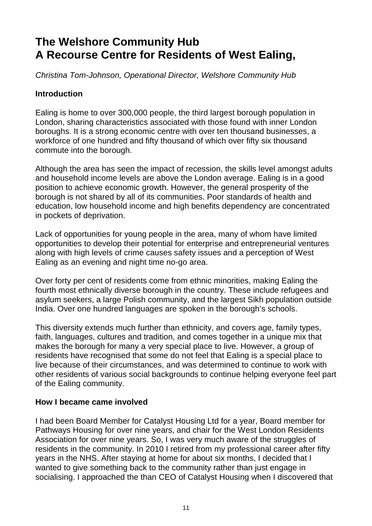# **The Welshore Community Hub A Recourse Centre for Residents of West Ealing,**

Christina Tom-Johnson, Operational Director, Welshore Community Hub

#### **Introduction**

Ealing is home to over 300,000 people, the third largest borough population in London, sharing characteristics associated with those found with inner London boroughs. It is a strong economic centre with over ten thousand businesses, a workforce of one hundred and fifty thousand of which over fifty six thousand commute into the borough.

Although the area has seen the impact of recession, the skills level amongst adults and household income levels are above the London average. Ealing is in a good position to achieve economic growth. However, the general prosperity of the borough is not shared by all of its communities. Poor standards of health and education, low household income and high benefits dependency are concentrated in pockets of deprivation.

Lack of opportunities for young people in the area, many of whom have limited opportunities to develop their potential for enterprise and entrepreneurial ventures along with high levels of crime causes safety issues and a perception of West Ealing as an evening and night time no-go area.

Over forty per cent of residents come from ethnic minorities, making Ealing the fourth most ethnically diverse borough in the country. These include refugees and asylum seekers, a large Polish community, and the largest Sikh population outside India. Over one hundred languages are spoken in the borough's schools.

This diversity extends much further than ethnicity, and covers age, family types, faith, languages, cultures and tradition, and comes together in a unique mix that makes the borough for many a very special place to live. However, a group of residents have recognised that some do not feel that Ealing is a special place to live because of their circumstances, and was determined to continue to work with other residents of various social backgrounds to continue helping everyone feel part of the Ealing community.

#### **How I became came involved**

I had been Board Member for Catalyst Housing Ltd for a year, Board member for Pathways Housing for over nine years, and chair for the West London Residents Association for over nine years. So, I was very much aware of the struggles of residents in the community. In 2010 I retired from my professional career after fifty years in the NHS. After staying at home for about six months, I decided that I wanted to give something back to the community rather than just engage in socialising. I approached the than CEO of Catalyst Housing when I discovered that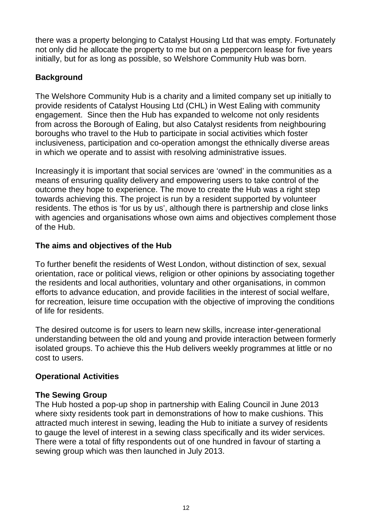there was a property belonging to Catalyst Housing Ltd that was empty. Fortunately not only did he allocate the property to me but on a peppercorn lease for five years initially, but for as long as possible, so Welshore Community Hub was born.

#### **Background**

The Welshore Community Hub is a charity and a limited company set up initially to provide residents of Catalyst Housing Ltd (CHL) in West Ealing with community engagement. Since then the Hub has expanded to welcome not only residents from across the Borough of Ealing, but also Catalyst residents from neighbouring boroughs who travel to the Hub to participate in social activities which foster inclusiveness, participation and co-operation amongst the ethnically diverse areas in which we operate and to assist with resolving administrative issues.

Increasingly it is important that social services are 'owned' in the communities as a means of ensuring quality delivery and empowering users to take control of the outcome they hope to experience. The move to create the Hub was a right step towards achieving this. The project is run by a resident supported by volunteer residents. The ethos is 'for us by us', although there is partnership and close links with agencies and organisations whose own aims and objectives complement those of the Hub.

#### **The aims and objectives of the Hub**

To further benefit the residents of West London, without distinction of sex, sexual orientation, race or political views, religion or other opinions by associating together the residents and local authorities, voluntary and other organisations, in common efforts to advance education, and provide facilities in the interest of social welfare, for recreation, leisure time occupation with the objective of improving the conditions of life for residents.

The desired outcome is for users to learn new skills, increase inter-generational understanding between the old and young and provide interaction between formerly isolated groups. To achieve this the Hub delivers weekly programmes at little or no cost to users.

#### **Operational Activities**

#### **The Sewing Group**

The Hub hosted a pop-up shop in partnership with Ealing Council in June 2013 where sixty residents took part in demonstrations of how to make cushions. This attracted much interest in sewing, leading the Hub to initiate a survey of residents to gauge the level of interest in a sewing class specifically and its wider services. There were a total of fifty respondents out of one hundred in favour of starting a sewing group which was then launched in July 2013.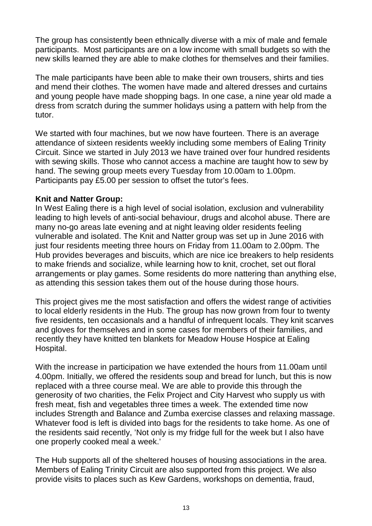The group has consistently been ethnically diverse with a mix of male and female participants. Most participants are on a low income with small budgets so with the new skills learned they are able to make clothes for themselves and their families.

The male participants have been able to make their own trousers, shirts and ties and mend their clothes. The women have made and altered dresses and curtains and young people have made shopping bags. In one case, a nine year old made a dress from scratch during the summer holidays using a pattern with help from the tutor.

We started with four machines, but we now have fourteen. There is an average attendance of sixteen residents weekly including some members of Ealing Trinity Circuit. Since we started in July 2013 we have trained over four hundred residents with sewing skills. Those who cannot access a machine are taught how to sew by hand. The sewing group meets every Tuesday from 10.00am to 1.00pm. Participants pay £5.00 per session to offset the tutor's fees.

#### **Knit and Natter Group:**

In West Ealing there is a high level of social isolation, exclusion and vulnerability leading to high levels of anti-social behaviour, drugs and alcohol abuse. There are many no-go areas late evening and at night leaving older residents feeling vulnerable and isolated. The Knit and Natter group was set up in June 2016 with just four residents meeting three hours on Friday from 11.00am to 2.00pm. The Hub provides beverages and biscuits, which are nice ice breakers to help residents to make friends and socialize, while learning how to knit, crochet, set out floral arrangements or play games. Some residents do more nattering than anything else, as attending this session takes them out of the house during those hours.

This project gives me the most satisfaction and offers the widest range of activities to local elderly residents in the Hub. The group has now grown from four to twenty five residents, ten occasionals and a handful of infrequent locals. They knit scarves and gloves for themselves and in some cases for members of their families, and recently they have knitted ten blankets for Meadow House Hospice at Ealing Hospital.

With the increase in participation we have extended the hours from 11.00am until 4.00pm. Initially, we offered the residents soup and bread for lunch, but this is now replaced with a three course meal. We are able to provide this through the generosity of two charities, the Felix Project and City Harvest who supply us with fresh meat, fish and vegetables three times a week. The extended time now includes Strength and Balance and Zumba exercise classes and relaxing massage. Whatever food is left is divided into bags for the residents to take home. As one of the residents said recently, 'Not only is my fridge full for the week but I also have one properly cooked meal a week.'

The Hub supports all of the sheltered houses of housing associations in the area. Members of Ealing Trinity Circuit are also supported from this project. We also provide visits to places such as Kew Gardens, workshops on dementia, fraud,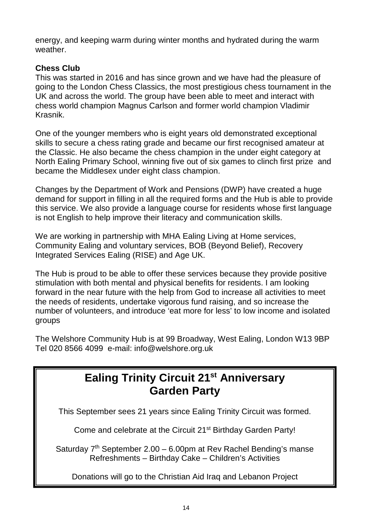energy, and keeping warm during winter months and hydrated during the warm weather.

#### **Chess Club**

This was started in 2016 and has since grown and we have had the pleasure of going to the London Chess Classics, the most prestigious chess tournament in the UK and across the world. The group have been able to meet and interact with chess world champion Magnus Carlson and former world champion Vladimir Krasnik.

One of the younger members who is eight years old demonstrated exceptional skills to secure a chess rating grade and became our first recognised amateur at the Classic. He also became the chess champion in the under eight category at North Ealing Primary School, winning five out of six games to clinch first prize and became the Middlesex under eight class champion.

Changes by the Department of Work and Pensions (DWP) have created a huge demand for support in filling in all the required forms and the Hub is able to provide this service. We also provide a language course for residents whose first language is not English to help improve their literacy and communication skills.

We are working in partnership with MHA Ealing Living at Home services, Community Ealing and voluntary services, BOB (Beyond Belief), Recovery Integrated Services Ealing (RISE) and Age UK.

The Hub is proud to be able to offer these services because they provide positive stimulation with both mental and physical benefits for residents. I am looking forward in the near future with the help from God to increase all activities to meet the needs of residents, undertake vigorous fund raising, and so increase the number of volunteers, and introduce 'eat more for less' to low income and isolated groups

The Welshore Community Hub is at 99 Broadway, West Ealing, London W13 9BP Tel 020 8566 4099 e-mail: info@welshore.org.uk

# **Ealing Trinity Circuit 21st Anniversary Garden Party**

This September sees 21 years since Ealing Trinity Circuit was formed.

Come and celebrate at the Circuit 21<sup>st</sup> Birthday Garden Party!

Saturday  $7<sup>th</sup>$  September 2.00 – 6.00pm at Rev Rachel Bending's manse Refreshments – Birthday Cake – Children's Activities

Donations will go to the Christian Aid Iraq and Lebanon Project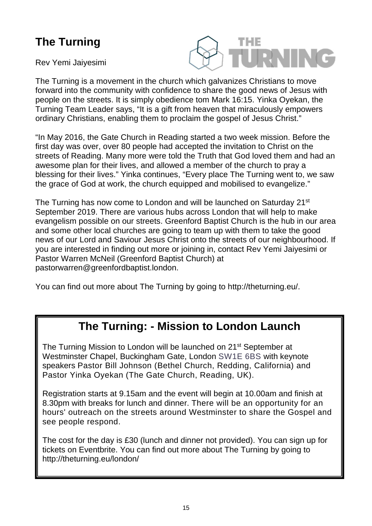# **The Turning**

Rev Yemi Jaiyesimi



The Turning is a movement in the church which galvanizes Christians to move forward into the community with confidence to share the good news of Jesus with people on the streets. It is simply obedience tom Mark 16:15. Yinka Oyekan, the Turning Team Leader says, "It is a gift from heaven that miraculously empowers ordinary Christians, enabling them to proclaim the gospel of Jesus Christ."

"In May 2016, the Gate Church in Reading started a two week mission. Before the first day was over, over 80 people had accepted the invitation to Christ on the streets of Reading. Many more were told the Truth that God loved them and had an awesome plan for their lives, and allowed a member of the church to pray a blessing for their lives." Yinka continues, "Every place The Turning went to, we saw the grace of God at work, the church equipped and mobilised to evangelize."

The Turning has now come to London and will be launched on Saturday 21<sup>st</sup> September 2019. There are various hubs across London that will help to make evangelism possible on our streets. Greenford Baptist Church is the hub in our area and some other local churches are going to team up with them to take the good news of our Lord and Saviour Jesus Christ onto the streets of our neighbourhood. If you are interested in finding out more or joining in, contact Rev Yemi Jaiyesimi or Pastor Warren McNeil (Greenford Baptist Church) at pastorwarren@greenfordbaptist.london.

You can find out more about The Turning by going to http://theturning.eu/.

# **The Turning: - Mission to London Launch**

The Turning Mission to London will be launched on 21<sup>st</sup> September at Westminster Chapel, Buckingham Gate, London SW1E 6BS with keynote speakers Pastor Bill Johnson (Bethel Church, Redding, California) and Pastor Yinka Oyekan (The Gate Church, Reading, UK).

Registration starts at 9.15am and the event will begin at 10.00am and finish at 8.30pm with breaks for lunch and dinner. There will be an opportunity for an hours' outreach on the streets around Westminster to share the Gospel and see people respond.

The cost for the day is £30 (lunch and dinner not provided). You can sign up for tickets on Eventbrite. You can find out more about The Turning by going to http://theturning.eu/london/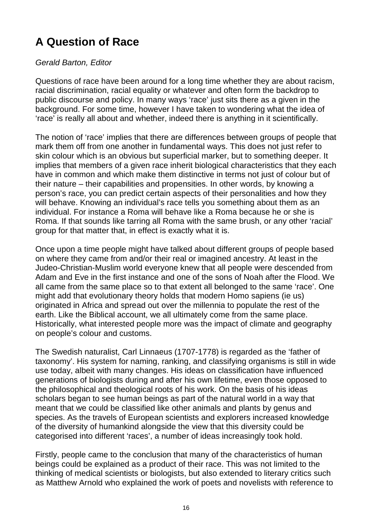# **A Question of Race**

#### Gerald Barton, Editor

Questions of race have been around for a long time whether they are about racism, racial discrimination, racial equality or whatever and often form the backdrop to public discourse and policy. In many ways 'race' just sits there as a given in the background. For some time, however I have taken to wondering what the idea of 'race' is really all about and whether, indeed there is anything in it scientifically.

The notion of 'race' implies that there are differences between groups of people that mark them off from one another in fundamental ways. This does not just refer to skin colour which is an obvious but superficial marker, but to something deeper. It implies that members of a given race inherit biological characteristics that they each have in common and which make them distinctive in terms not just of colour but of their nature – their capabilities and propensities. In other words, by knowing a person's race, you can predict certain aspects of their personalities and how they will behave. Knowing an individual's race tells you something about them as an individual. For instance a Roma will behave like a Roma because he or she is Roma. If that sounds like tarring all Roma with the same brush, or any other 'racial' group for that matter that, in effect is exactly what it is.

Once upon a time people might have talked about different groups of people based on where they came from and/or their real or imagined ancestry. At least in the Judeo-Christian-Muslim world everyone knew that all people were descended from Adam and Eve in the first instance and one of the sons of Noah after the Flood. We all came from the same place so to that extent all belonged to the same 'race'. One might add that evolutionary theory holds that modern Homo sapiens (ie us) originated in Africa and spread out over the millennia to populate the rest of the earth. Like the Biblical account, we all ultimately come from the same place. Historically, what interested people more was the impact of climate and geography on people's colour and customs.

The Swedish naturalist, Carl Linnaeus (1707-1778) is regarded as the 'father of taxonomy'. His system for naming, ranking, and classifying organisms is still in wide use today, albeit with many changes. His ideas on classification have influenced generations of biologists during and after his own lifetime, even those opposed to the philosophical and theological roots of his work. On the basis of his ideas scholars began to see human beings as part of the natural world in a way that meant that we could be classified like other animals and plants by genus and species. As the travels of European scientists and explorers increased knowledge of the diversity of humankind alongside the view that this diversity could be categorised into different 'races', a number of ideas increasingly took hold.

Firstly, people came to the conclusion that many of the characteristics of human beings could be explained as a product of their race. This was not limited to the thinking of medical scientists or biologists, but also extended to literary critics such as Matthew Arnold who explained the work of poets and novelists with reference to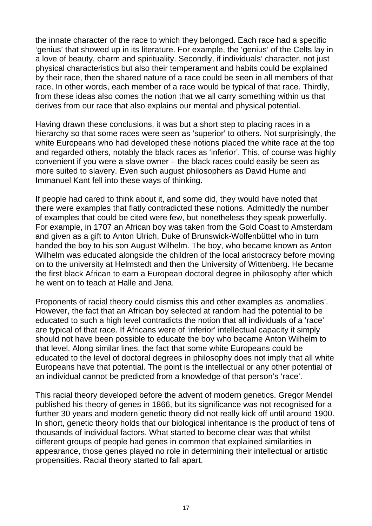the innate character of the race to which they belonged. Each race had a specific 'genius' that showed up in its literature. For example, the 'genius' of the Celts lay in a love of beauty, charm and spirituality. Secondly, if individuals' character, not just physical characteristics but also their temperament and habits could be explained by their race, then the shared nature of a race could be seen in all members of that race. In other words, each member of a race would be typical of that race. Thirdly, from these ideas also comes the notion that we all carry something within us that derives from our race that also explains our mental and physical potential.

Having drawn these conclusions, it was but a short step to placing races in a hierarchy so that some races were seen as 'superior' to others. Not surprisingly, the white Europeans who had developed these notions placed the white race at the top and regarded others, notably the black races as 'inferior'. This, of course was highly convenient if you were a slave owner – the black races could easily be seen as more suited to slavery. Even such august philosophers as David Hume and Immanuel Kant fell into these ways of thinking.

If people had cared to think about it, and some did, they would have noted that there were examples that flatly contradicted these notions. Admittedly the number of examples that could be cited were few, but nonetheless they speak powerfully. For example, in 1707 an African boy was taken from the Gold Coast to Amsterdam and given as a gift to Anton Ulrich, Duke of Brunswick-Wolfenbüttel who in turn handed the boy to his son August Wilhelm. The boy, who became known as Anton Wilhelm was educated alongside the children of the local aristocracy before moving on to the university at Helmstedt and then the University of Wittenberg. He became the first black African to earn a European doctoral degree in philosophy after which he went on to teach at Halle and Jena.

Proponents of racial theory could dismiss this and other examples as 'anomalies'. However, the fact that an African boy selected at random had the potential to be educated to such a high level contradicts the notion that all individuals of a 'race' are typical of that race. If Africans were of 'inferior' intellectual capacity it simply should not have been possible to educate the boy who became Anton Wilhelm to that level. Along similar lines, the fact that some white Europeans could be educated to the level of doctoral degrees in philosophy does not imply that all white Europeans have that potential. The point is the intellectual or any other potential of an individual cannot be predicted from a knowledge of that person's 'race'.

This racial theory developed before the advent of modern genetics. Gregor Mendel published his theory of genes in 1866, but its significance was not recognised for a further 30 years and modern genetic theory did not really kick off until around 1900. In short, genetic theory holds that our biological inheritance is the product of tens of thousands of individual factors. What started to become clear was that whilst different groups of people had genes in common that explained similarities in appearance, those genes played no role in determining their intellectual or artistic propensities. Racial theory started to fall apart.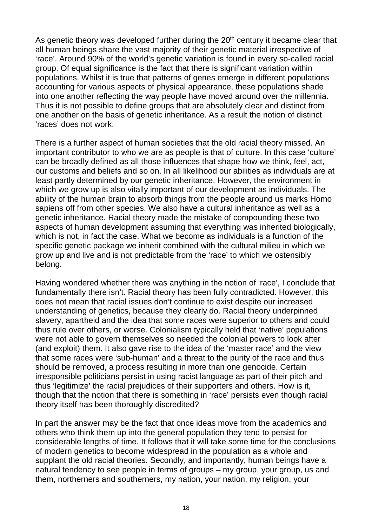As genetic theory was developed further during the  $20<sup>th</sup>$  century it became clear that all human beings share the vast majority of their genetic material irrespective of 'race'. Around 90% of the world's genetic variation is found in every so-called racial group. Of equal significance is the fact that there is significant variation within populations. Whilst it is true that patterns of genes emerge in different populations accounting for various aspects of physical appearance, these populations shade into one another reflecting the way people have moved around over the millennia. Thus it is not possible to define groups that are absolutely clear and distinct from one another on the basis of genetic inheritance. As a result the notion of distinct 'races' does not work.

There is a further aspect of human societies that the old racial theory missed. An important contributor to who we are as people is that of culture. In this case 'culture' can be broadly defined as all those influences that shape how we think, feel, act, our customs and beliefs and so on. In all likelihood our abilities as individuals are at least partly determined by our genetic inheritance. However, the environment in which we grow up is also vitally important of our development as individuals. The ability of the human brain to absorb things from the people around us marks Homo sapiens off from other species. We also have a cultural inheritance as well as a genetic inheritance. Racial theory made the mistake of compounding these two aspects of human development assuming that everything was inherited biologically, which is not, in fact the case. What we become as individuals is a function of the specific genetic package we inherit combined with the cultural milieu in which we grow up and live and is not predictable from the 'race' to which we ostensibly belong.

Having wondered whether there was anything in the notion of 'race', I conclude that fundamentally there isn't. Racial theory has been fully contradicted. However, this does not mean that racial issues don't continue to exist despite our increased understanding of genetics, because they clearly do. Racial theory underpinned slavery, apartheid and the idea that some races were superior to others and could thus rule over others, or worse. Colonialism typically held that 'native' populations were not able to govern themselves so needed the colonial powers to look after (and exploit) them. It also gave rise to the idea of the 'master race' and the view that some races were 'sub-human' and a threat to the purity of the race and thus should be removed, a process resulting in more than one genocide. Certain irresponsible politicians persist in using racist language as part of their pitch and thus 'legitimize' the racial prejudices of their supporters and others. How is it, though that the notion that there is something in 'race' persists even though racial theory itself has been thoroughly discredited?

In part the answer may be the fact that once ideas move from the academics and others who think them up into the general population they tend to persist for considerable lengths of time. It follows that it will take some time for the conclusions of modern genetics to become widespread in the population as a whole and supplant the old racial theories. Secondly, and importantly, human beings have a natural tendency to see people in terms of groups – my group, your group, us and them, northerners and southerners, my nation, your nation, my religion, your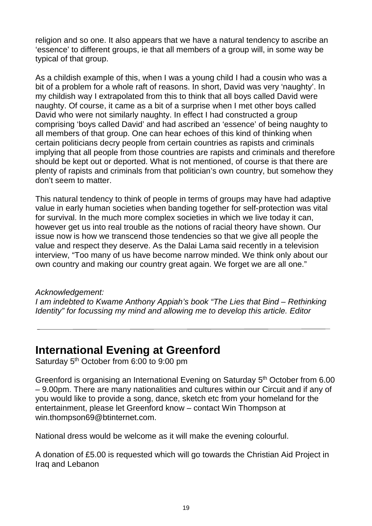religion and so one. It also appears that we have a natural tendency to ascribe an 'essence' to different groups, ie that all members of a group will, in some way be typical of that group.

As a childish example of this, when I was a young child I had a cousin who was a bit of a problem for a whole raft of reasons. In short, David was very 'naughty'. In my childish way I extrapolated from this to think that all boys called David were naughty. Of course, it came as a bit of a surprise when I met other boys called David who were not similarly naughty. In effect I had constructed a group comprising 'boys called David' and had ascribed an 'essence' of being naughty to all members of that group. One can hear echoes of this kind of thinking when certain politicians decry people from certain countries as rapists and criminals implying that all people from those countries are rapists and criminals and therefore should be kept out or deported. What is not mentioned, of course is that there are plenty of rapists and criminals from that politician's own country, but somehow they don't seem to matter.

This natural tendency to think of people in terms of groups may have had adaptive value in early human societies when banding together for self-protection was vital for survival. In the much more complex societies in which we live today it can, however get us into real trouble as the notions of racial theory have shown. Our issue now is how we transcend those tendencies so that we give all people the value and respect they deserve. As the Dalai Lama said recently in a television interview, "Too many of us have become narrow minded. We think only about our own country and making our country great again. We forget we are all one."

#### Acknowledgement:

I am indebted to Kwame Anthony Appiah's book "The Lies that Bind – Rethinking Identity" for focussing my mind and allowing me to develop this article. Editor

### **International Evening at Greenford**

Saturday 5<sup>th</sup> October from 6:00 to 9:00 pm

Greenford is organising an International Evening on Saturday 5th October from 6.00 – 9.00pm. There are many nationalities and cultures within our Circuit and if any of you would like to provide a song, dance, sketch etc from your homeland for the entertainment, please let Greenford know – contact Win Thompson at win.thompson69@btinternet.com.

National dress would be welcome as it will make the evening colourful.

A donation of £5.00 is requested which will go towards the Christian Aid Project in Iraq and Lebanon